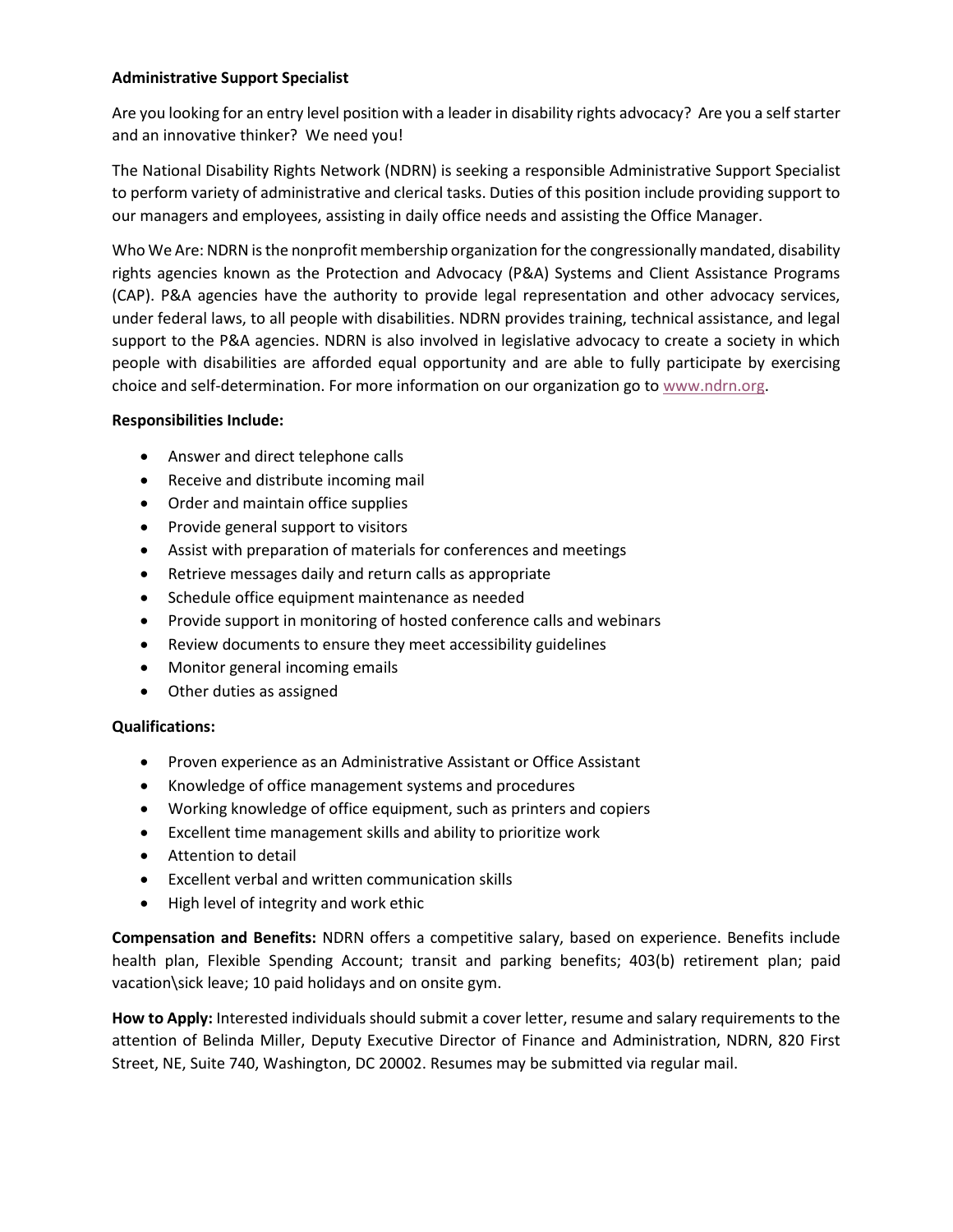## **Administrative Support Specialist**

Are you looking for an entry level position with a leader in disability rights advocacy? Are you a self starter and an innovative thinker? We need you!

The National Disability Rights Network (NDRN) is seeking a responsible Administrative Support Specialist to perform variety of administrative and clerical tasks. Duties of this position include providing support to our managers and employees, assisting in daily office needs and assisting the Office Manager.

Who We Are: NDRN is the nonprofit membership organization for the congressionally mandated, disability rights agencies known as the Protection and Advocacy (P&A) Systems and Client Assistance Programs (CAP). P&A agencies have the authority to provide legal representation and other advocacy services, under federal laws, to all people with disabilities. NDRN provides training, technical assistance, and legal support to the P&A agencies. NDRN is also involved in legislative advocacy to create a society in which people with disabilities are afforded equal opportunity and are able to fully participate by exercising choice and self-determination. For more information on our organization go to [www.ndrn.org.](http://www.ndrn.org/)

## **Responsibilities Include:**

- Answer and direct telephone calls
- Receive and distribute incoming mail
- Order and maintain office supplies
- Provide general support to visitors
- Assist with preparation of materials for conferences and meetings
- Retrieve messages daily and return calls as appropriate
- Schedule office equipment maintenance as needed
- Provide support in monitoring of hosted conference calls and webinars
- Review documents to ensure they meet accessibility guidelines
- Monitor general incoming emails
- Other duties as assigned

## **Qualifications:**

- Proven experience as an Administrative Assistant or Office Assistant
- Knowledge of office management systems and procedures
- Working knowledge of office equipment, such as printers and copiers
- Excellent time management skills and ability to prioritize work
- Attention to detail
- Excellent verbal and written communication skills
- High level of integrity and work ethic

**Compensation and Benefits:** NDRN offers a competitive salary, based on experience. Benefits include health plan, Flexible Spending Account; transit and parking benefits; 403(b) retirement plan; paid vacation\sick leave; 10 paid holidays and on onsite gym.

**How to Apply:** Interested individuals should submit a cover letter, resume and salary requirements to the attention of Belinda Miller, Deputy Executive Director of Finance and Administration, NDRN, 820 First Street, NE, Suite 740, Washington, DC 20002. Resumes may be submitted via regular mail.